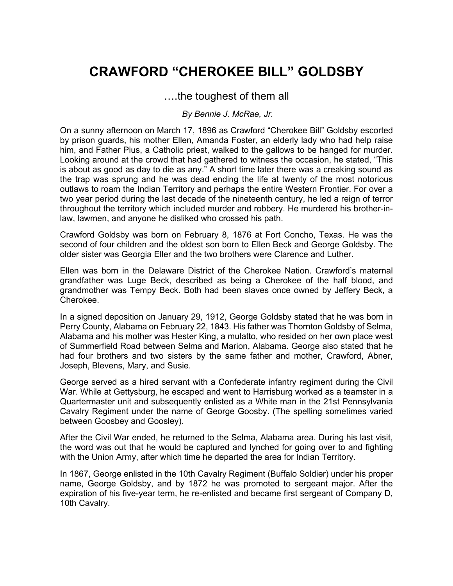## **CRAWFORD "CHEROKEE BILL" GOLDSBY**

## ….the toughest of them all

## *By Bennie J. McRae, Jr.*

On a sunny afternoon on March 17, 1896 as Crawford "Cherokee Bill" Goldsby escorted by prison guards, his mother Ellen, Amanda Foster, an elderly lady who had help raise him, and Father Pius, a Catholic priest, walked to the gallows to be hanged for murder. Looking around at the crowd that had gathered to witness the occasion, he stated, "This is about as good as day to die as any." A short time later there was a creaking sound as the trap was sprung and he was dead ending the life at twenty of the most notorious outlaws to roam the Indian Territory and perhaps the entire Western Frontier. For over a two year period during the last decade of the nineteenth century, he led a reign of terror throughout the territory which included murder and robbery. He murdered his brother-inlaw, lawmen, and anyone he disliked who crossed his path.

Crawford Goldsby was born on February 8, 1876 at Fort Concho, Texas. He was the second of four children and the oldest son born to Ellen Beck and George Goldsby. The older sister was Georgia Eller and the two brothers were Clarence and Luther.

Ellen was born in the Delaware District of the Cherokee Nation. Crawford's maternal grandfather was Luge Beck, described as being a Cherokee of the half blood, and grandmother was Tempy Beck. Both had been slaves once owned by Jeffery Beck, a Cherokee.

In a signed deposition on January 29, 1912, George Goldsby stated that he was born in Perry County, Alabama on February 22, 1843. His father was Thornton Goldsby of Selma, Alabama and his mother was Hester King, a mulatto, who resided on her own place west of Summerfield Road between Selma and Marion, Alabama. George also stated that he had four brothers and two sisters by the same father and mother, Crawford, Abner, Joseph, Blevens, Mary, and Susie.

George served as a hired servant with a Confederate infantry regiment during the Civil War. While at Gettysburg, he escaped and went to Harrisburg worked as a teamster in a Quartermaster unit and subsequently enlisted as a White man in the 21st Pennsylvania Cavalry Regiment under the name of George Goosby. (The spelling sometimes varied between Goosbey and Goosley).

After the Civil War ended, he returned to the Selma, Alabama area. During his last visit, the word was out that he would be captured and lynched for going over to and fighting with the Union Army, after which time he departed the area for Indian Territory.

In 1867, George enlisted in the 10th Cavalry Regiment (Buffalo Soldier) under his proper name, George Goldsby, and by 1872 he was promoted to sergeant major. After the expiration of his five-year term, he re-enlisted and became first sergeant of Company D, 10th Cavalry.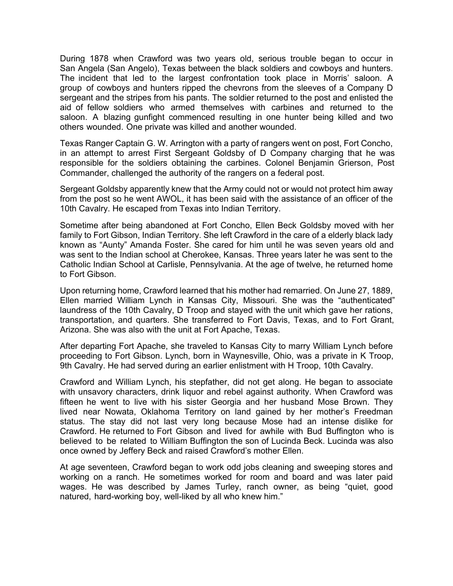During 1878 when Crawford was two years old, serious trouble began to occur in San Angela (San Angelo), Texas between the black soldiers and cowboys and hunters. The incident that led to the largest confrontation took place in Morris' saloon. A group of cowboys and hunters ripped the chevrons from the sleeves of a Company D sergeant and the stripes from his pants. The soldier returned to the post and enlisted the aid of fellow soldiers who armed themselves with carbines and returned to the saloon. A blazing gunfight commenced resulting in one hunter being killed and two others wounded. One private was killed and another wounded.

Texas Ranger Captain G. W. Arrington with a party of rangers went on post, Fort Concho, in an attempt to arrest First Sergeant Goldsby of D Company charging that he was responsible for the soldiers obtaining the carbines. Colonel Benjamin Grierson, Post Commander, challenged the authority of the rangers on a federal post.

Sergeant Goldsby apparently knew that the Army could not or would not protect him away from the post so he went AWOL, it has been said with the assistance of an officer of the 10th Cavalry. He escaped from Texas into Indian Territory.

Sometime after being abandoned at Fort Concho, Ellen Beck Goldsby moved with her family to Fort Gibson, Indian Territory. She left Crawford in the care of a elderly black lady known as "Aunty" Amanda Foster. She cared for him until he was seven years old and was sent to the Indian school at Cherokee, Kansas. Three years later he was sent to the Catholic Indian School at Carlisle, Pennsylvania. At the age of twelve, he returned home to Fort Gibson.

Upon returning home, Crawford learned that his mother had remarried. On June 27, 1889, Ellen married William Lynch in Kansas City, Missouri. She was the "authenticated" laundress of the 10th Cavalry, D Troop and stayed with the unit which gave her rations, transportation, and quarters. She transferred to Fort Davis, Texas, and to Fort Grant, Arizona. She was also with the unit at Fort Apache, Texas.

After departing Fort Apache, she traveled to Kansas City to marry William Lynch before proceeding to Fort Gibson. Lynch, born in Waynesville, Ohio, was a private in K Troop, 9th Cavalry. He had served during an earlier enlistment with H Troop, 10th Cavalry.

Crawford and William Lynch, his stepfather, did not get along. He began to associate with unsavory characters, drink liquor and rebel against authority. When Crawford was fifteen he went to live with his sister Georgia and her husband Mose Brown. They lived near Nowata, Oklahoma Territory on land gained by her mother's Freedman status. The stay did not last very long because Mose had an intense dislike for Crawford. He returned to Fort Gibson and lived for awhile with Bud Buffington who is believed to be related to William Buffington the son of Lucinda Beck. Lucinda was also once owned by Jeffery Beck and raised Crawford's mother Ellen.

At age seventeen, Crawford began to work odd jobs cleaning and sweeping stores and working on a ranch. He sometimes worked for room and board and was later paid wages. He was described by James Turley, ranch owner, as being "quiet, good natured, hard-working boy, well-liked by all who knew him."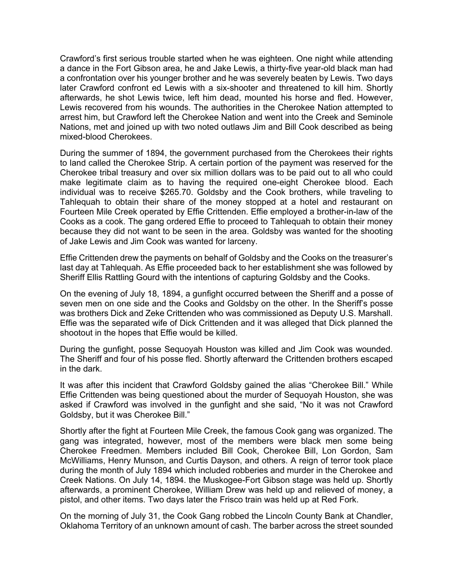Crawford's first serious trouble started when he was eighteen. One night while attending a dance in the Fort Gibson area, he and Jake Lewis, a thirty-five year-old black man had a confrontation over his younger brother and he was severely beaten by Lewis. Two days later Crawford confront ed Lewis with a six-shooter and threatened to kill him. Shortly afterwards, he shot Lewis twice, left him dead, mounted his horse and fled. However, Lewis recovered from his wounds. The authorities in the Cherokee Nation attempted to arrest him, but Crawford left the Cherokee Nation and went into the Creek and Seminole Nations, met and joined up with two noted outlaws Jim and Bill Cook described as being mixed-blood Cherokees.

During the summer of 1894, the government purchased from the Cherokees their rights to land called the Cherokee Strip. A certain portion of the payment was reserved for the Cherokee tribal treasury and over six million dollars was to be paid out to all who could make legitimate claim as to having the required one-eight Cherokee blood. Each individual was to receive \$265.70. Goldsby and the Cook brothers, while traveling to Tahlequah to obtain their share of the money stopped at a hotel and restaurant on Fourteen Mile Creek operated by Effie Crittenden. Effie employed a brother-in-law of the Cooks as a cook. The gang ordered Effie to proceed to Tahlequah to obtain their money because they did not want to be seen in the area. Goldsby was wanted for the shooting of Jake Lewis and Jim Cook was wanted for larceny.

Effie Crittenden drew the payments on behalf of Goldsby and the Cooks on the treasurer's last day at Tahlequah. As Effie proceeded back to her establishment she was followed by Sheriff Ellis Rattling Gourd with the intentions of capturing Goldsby and the Cooks.

On the evening of July 18, 1894, a gunfight occurred between the Sheriff and a posse of seven men on one side and the Cooks and Goldsby on the other. In the Sheriff's posse was brothers Dick and Zeke Crittenden who was commissioned as Deputy U.S. Marshall. Effie was the separated wife of Dick Crittenden and it was alleged that Dick planned the shootout in the hopes that Effie would be killed.

During the gunfight, posse Sequoyah Houston was killed and Jim Cook was wounded. The Sheriff and four of his posse fled. Shortly afterward the Crittenden brothers escaped in the dark.

It was after this incident that Crawford Goldsby gained the alias "Cherokee Bill." While Effie Crittenden was being questioned about the murder of Sequoyah Houston, she was asked if Crawford was involved in the gunfight and she said, "No it was not Crawford Goldsby, but it was Cherokee Bill."

Shortly after the fight at Fourteen Mile Creek, the famous Cook gang was organized. The gang was integrated, however, most of the members were black men some being Cherokee Freedmen. Members included Bill Cook, Cherokee Bill, Lon Gordon, Sam McWilliams, Henry Munson, and Curtis Dayson, and others. A reign of terror took place during the month of July 1894 which included robberies and murder in the Cherokee and Creek Nations. On July 14, 1894. the Muskogee-Fort Gibson stage was held up. Shortly afterwards, a prominent Cherokee, William Drew was held up and relieved of money, a pistol, and other items. Two days later the Frisco train was held up at Red Fork.

On the morning of July 31, the Cook Gang robbed the Lincoln County Bank at Chandler, Oklahoma Territory of an unknown amount of cash. The barber across the street sounded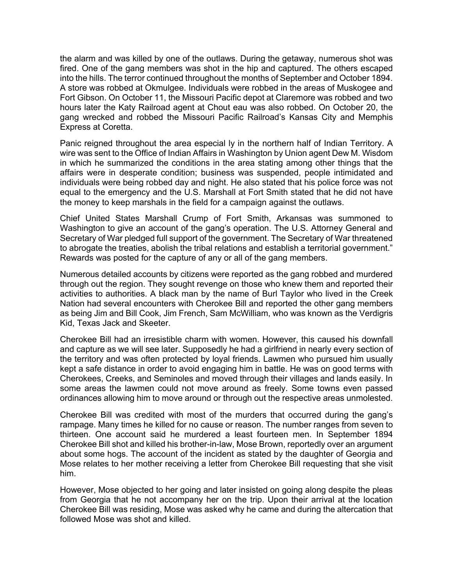the alarm and was killed by one of the outlaws. During the getaway, numerous shot was fired. One of the gang members was shot in the hip and captured. The others escaped into the hills. The terror continued throughout the months of September and October 1894. A store was robbed at Okmulgee. Individuals were robbed in the areas of Muskogee and Fort Gibson. On October 11, the Missouri Pacific depot at Claremore was robbed and two hours later the Katy Railroad agent at Chout eau was also robbed. On October 20, the gang wrecked and robbed the Missouri Pacific Railroad's Kansas City and Memphis Express at Coretta.

Panic reigned throughout the area especial ly in the northern half of Indian Territory. A wire was sent to the Office of Indian Affairs in Washington by Union agent Dew M. Wisdom in which he summarized the conditions in the area stating among other things that the affairs were in desperate condition; business was suspended, people intimidated and individuals were being robbed day and night. He also stated that his police force was not equal to the emergency and the U.S. Marshall at Fort Smith stated that he did not have the money to keep marshals in the field for a campaign against the outlaws.

Chief United States Marshall Crump of Fort Smith, Arkansas was summoned to Washington to give an account of the gang's operation. The U.S. Attorney General and Secretary of War pledged full support of the government. The Secretary of War threatened to abrogate the treaties, abolish the tribal relations and establish a territorial government." Rewards was posted for the capture of any or all of the gang members.

Numerous detailed accounts by citizens were reported as the gang robbed and murdered through out the region. They sought revenge on those who knew them and reported their activities to authorities. A black man by the name of Burl Taylor who lived in the Creek Nation had several encounters with Cherokee Bill and reported the other gang members as being Jim and Bill Cook, Jim French, Sam McWilliam, who was known as the Verdigris Kid, Texas Jack and Skeeter.

Cherokee Bill had an irresistible charm with women. However, this caused his downfall and capture as we will see later. Supposedly he had a girlfriend in nearly every section of the territory and was often protected by loyal friends. Lawmen who pursued him usually kept a safe distance in order to avoid engaging him in battle. He was on good terms with Cherokees, Creeks, and Seminoles and moved through their villages and lands easily. In some areas the lawmen could not move around as freely. Some towns even passed ordinances allowing him to move around or through out the respective areas unmolested.

Cherokee Bill was credited with most of the murders that occurred during the gang's rampage. Many times he killed for no cause or reason. The number ranges from seven to thirteen. One account said he murdered a least fourteen men. In September 1894 Cherokee Bill shot and killed his brother-in-law, Mose Brown, reportedly over an argument about some hogs. The account of the incident as stated by the daughter of Georgia and Mose relates to her mother receiving a letter from Cherokee Bill requesting that she visit him.

However, Mose objected to her going and later insisted on going along despite the pleas from Georgia that he not accompany her on the trip. Upon their arrival at the location Cherokee Bill was residing, Mose was asked why he came and during the altercation that followed Mose was shot and killed.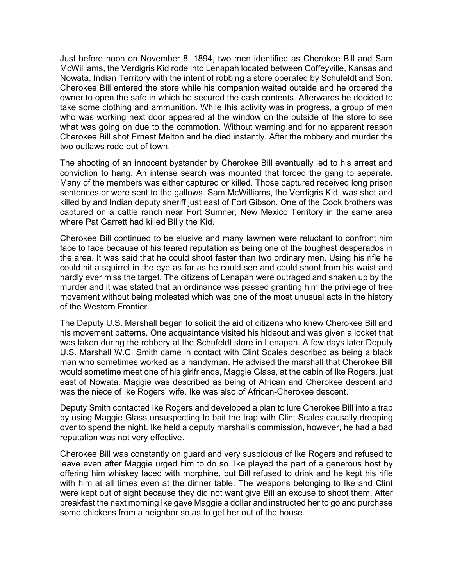Just before noon on November 8, 1894, two men identified as Cherokee Bill and Sam McWilliams, the Verdigris Kid rode into Lenapah located between Coffeyville, Kansas and Nowata, Indian Territory with the intent of robbing a store operated by Schufeldt and Son. Cherokee Bill entered the store while his companion waited outside and he ordered the owner to open the safe in which he secured the cash contents. Afterwards he decided to take some clothing and ammunition. While this activity was in progress, a group of men who was working next door appeared at the window on the outside of the store to see what was going on due to the commotion. Without warning and for no apparent reason Cherokee Bill shot Ernest Melton and he died instantly. After the robbery and murder the two outlaws rode out of town.

The shooting of an innocent bystander by Cherokee Bill eventually led to his arrest and conviction to hang. An intense search was mounted that forced the gang to separate. Many of the members was either captured or killed. Those captured received long prison sentences or were sent to the gallows. Sam McWilliams, the Verdigris Kid, was shot and killed by and Indian deputy sheriff just east of Fort Gibson. One of the Cook brothers was captured on a cattle ranch near Fort Sumner, New Mexico Territory in the same area where Pat Garrett had killed Billy the Kid.

Cherokee Bill continued to be elusive and many lawmen were reluctant to confront him face to face because of his feared reputation as being one of the toughest desperados in the area. It was said that he could shoot faster than two ordinary men. Using his rifle he could hit a squirrel in the eye as far as he could see and could shoot from his waist and hardly ever miss the target. The citizens of Lenapah were outraged and shaken up by the murder and it was stated that an ordinance was passed granting him the privilege of free movement without being molested which was one of the most unusual acts in the history of the Western Frontier.

The Deputy U.S. Marshall began to solicit the aid of citizens who knew Cherokee Bill and his movement patterns. One acquaintance visited his hideout and was given a locket that was taken during the robbery at the Schufeldt store in Lenapah. A few days later Deputy U.S. Marshall W.C. Smith came in contact with Clint Scales described as being a black man who sometimes worked as a handyman. He advised the marshall that Cherokee Bill would sometime meet one of his girlfriends, Maggie Glass, at the cabin of Ike Rogers, just east of Nowata. Maggie was described as being of African and Cherokee descent and was the niece of Ike Rogers' wife. Ike was also of African-Cherokee descent.

Deputy Smith contacted Ike Rogers and developed a plan to lure Cherokee Bill into a trap by using Maggie Glass unsuspecting to bait the trap with Clint Scales causally dropping over to spend the night. Ike held a deputy marshall's commission, however, he had a bad reputation was not very effective.

Cherokee Bill was constantly on guard and very suspicious of Ike Rogers and refused to leave even after Maggie urged him to do so. Ike played the part of a generous host by offering him whiskey laced with morphine, but Bill refused to drink and he kept his rifle with him at all times even at the dinner table. The weapons belonging to Ike and Clint were kept out of sight because they did not want give Bill an excuse to shoot them. After breakfast the next morning Ike gave Maggie a dollar and instructed her to go and purchase some chickens from a neighbor so as to get her out of the house.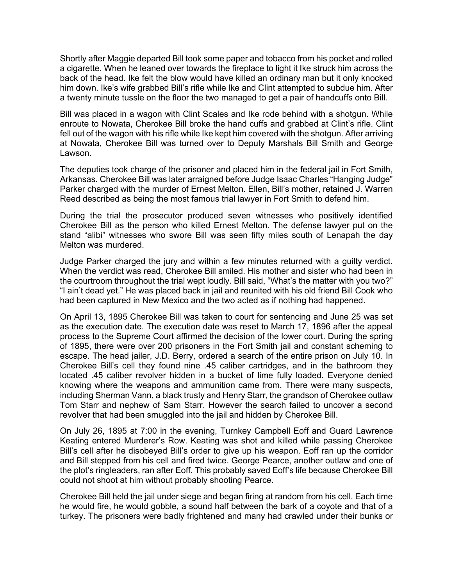Shortly after Maggie departed Bill took some paper and tobacco from his pocket and rolled a cigarette. When he leaned over towards the fireplace to light it Ike struck him across the back of the head. Ike felt the blow would have killed an ordinary man but it only knocked him down. Ike's wife grabbed Bill's rifle while Ike and Clint attempted to subdue him. After a twenty minute tussle on the floor the two managed to get a pair of handcuffs onto Bill.

Bill was placed in a wagon with Clint Scales and Ike rode behind with a shotgun. While enroute to Nowata, Cherokee Bill broke the hand cuffs and grabbed at Clint's rifle. Clint fell out of the wagon with his rifle while Ike kept him covered with the shotgun. After arriving at Nowata, Cherokee Bill was turned over to Deputy Marshals Bill Smith and George Lawson.

The deputies took charge of the prisoner and placed him in the federal jail in Fort Smith, Arkansas. Cherokee Bill was later arraigned before Judge Isaac Charles "Hanging Judge" Parker charged with the murder of Ernest Melton. Ellen, Bill's mother, retained J. Warren Reed described as being the most famous trial lawyer in Fort Smith to defend him.

During the trial the prosecutor produced seven witnesses who positively identified Cherokee Bill as the person who killed Ernest Melton. The defense lawyer put on the stand "alibi" witnesses who swore Bill was seen fifty miles south of Lenapah the day Melton was murdered.

Judge Parker charged the jury and within a few minutes returned with a guilty verdict. When the verdict was read, Cherokee Bill smiled. His mother and sister who had been in the courtroom throughout the trial wept loudly. Bill said, "What's the matter with you two?" "I ain't dead yet." He was placed back in jail and reunited with his old friend Bill Cook who had been captured in New Mexico and the two acted as if nothing had happened.

On April 13, 1895 Cherokee Bill was taken to court for sentencing and June 25 was set as the execution date. The execution date was reset to March 17, 1896 after the appeal process to the Supreme Court affirmed the decision of the lower court. During the spring of 1895, there were over 200 prisoners in the Fort Smith jail and constant scheming to escape. The head jailer, J.D. Berry, ordered a search of the entire prison on July 10. In Cherokee Bill's cell they found nine .45 caliber cartridges, and in the bathroom they located .45 caliber revolver hidden in a bucket of lime fully loaded. Everyone denied knowing where the weapons and ammunition came from. There were many suspects, including Sherman Vann, a black trusty and Henry Starr, the grandson of Cherokee outlaw Tom Starr and nephew of Sam Starr. However the search failed to uncover a second revolver that had been smuggled into the jail and hidden by Cherokee Bill.

On July 26, 1895 at 7:00 in the evening, Turnkey Campbell Eoff and Guard Lawrence Keating entered Murderer's Row. Keating was shot and killed while passing Cherokee Bill's cell after he disobeyed Bill's order to give up his weapon. Eoff ran up the corridor and Bill stepped from his cell and fired twice. George Pearce, another outlaw and one of the plot's ringleaders, ran after Eoff. This probably saved Eoff's life because Cherokee Bill could not shoot at him without probably shooting Pearce.

Cherokee Bill held the jail under siege and began firing at random from his cell. Each time he would fire, he would gobble, a sound half between the bark of a coyote and that of a turkey. The prisoners were badly frightened and many had crawled under their bunks or